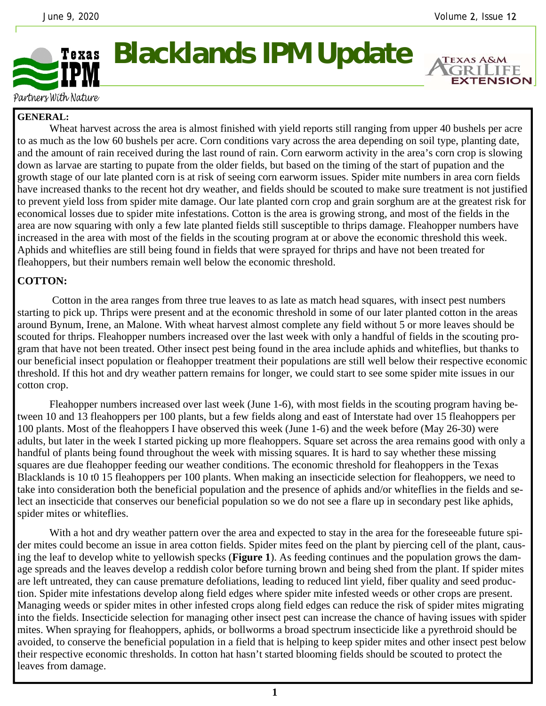**EXTENSION** 



## **Blacklands IPM Update**

Partners With Nature

## **GENERAL:**

 Wheat harvest across the area is almost finished with yield reports still ranging from upper 40 bushels per acre to as much as the low 60 bushels per acre. Corn conditions vary across the area depending on soil type, planting date, and the amount of rain received during the last round of rain. Corn earworm activity in the area's corn crop is slowing down as larvae are starting to pupate from the older fields, but based on the timing of the start of pupation and the growth stage of our late planted corn is at risk of seeing corn earworm issues. Spider mite numbers in area corn fields have increased thanks to the recent hot dry weather, and fields should be scouted to make sure treatment is not justified to prevent yield loss from spider mite damage. Our late planted corn crop and grain sorghum are at the greatest risk for economical losses due to spider mite infestations. Cotton is the area is growing strong, and most of the fields in the area are now squaring with only a few late planted fields still susceptible to thrips damage. Fleahopper numbers have increased in the area with most of the fields in the scouting program at or above the economic threshold this week. Aphids and whiteflies are still being found in fields that were sprayed for thrips and have not been treated for fleahoppers, but their numbers remain well below the economic threshold.

## **COTTON:**

 Cotton in the area ranges from three true leaves to as late as match head squares, with insect pest numbers starting to pick up. Thrips were present and at the economic threshold in some of our later planted cotton in the areas around Bynum, Irene, an Malone. With wheat harvest almost complete any field without 5 or more leaves should be scouted for thrips. Fleahopper numbers increased over the last week with only a handful of fields in the scouting program that have not been treated. Other insect pest being found in the area include aphids and whiteflies, but thanks to our beneficial insect population or fleahopper treatment their populations are still well below their respective economic threshold. If this hot and dry weather pattern remains for longer, we could start to see some spider mite issues in our cotton crop.

 Fleahopper numbers increased over last week (June 1-6), with most fields in the scouting program having between 10 and 13 fleahoppers per 100 plants, but a few fields along and east of Interstate had over 15 fleahoppers per 100 plants. Most of the fleahoppers I have observed this week (June 1-6) and the week before (May 26-30) were adults, but later in the week I started picking up more fleahoppers. Square set across the area remains good with only a handful of plants being found throughout the week with missing squares. It is hard to say whether these missing squares are due fleahopper feeding our weather conditions. The economic threshold for fleahoppers in the Texas Blacklands is 10 t0 15 fleahoppers per 100 plants. When making an insecticide selection for fleahoppers, we need to take into consideration both the beneficial population and the presence of aphids and/or whiteflies in the fields and select an insecticide that conserves our beneficial population so we do not see a flare up in secondary pest like aphids, spider mites or whiteflies.

With a hot and dry weather pattern over the area and expected to stay in the area for the foreseeable future spider mites could become an issue in area cotton fields. Spider mites feed on the plant by piercing cell of the plant, causing the leaf to develop white to yellowish specks (**Figure 1**). As feeding continues and the population grows the damage spreads and the leaves develop a reddish color before turning brown and being shed from the plant. If spider mites are left untreated, they can cause premature defoliations, leading to reduced lint yield, fiber quality and seed production. Spider mite infestations develop along field edges where spider mite infested weeds or other crops are present. Managing weeds or spider mites in other infested crops along field edges can reduce the risk of spider mites migrating into the fields. Insecticide selection for managing other insect pest can increase the chance of having issues with spider mites. When spraying for fleahoppers, aphids, or bollworms a broad spectrum insecticide like a pyrethroid should be avoided, to conserve the beneficial population in a field that is helping to keep spider mites and other insect pest below their respective economic thresholds. In cotton hat hasn't started blooming fields should be scouted to protect the leaves from damage.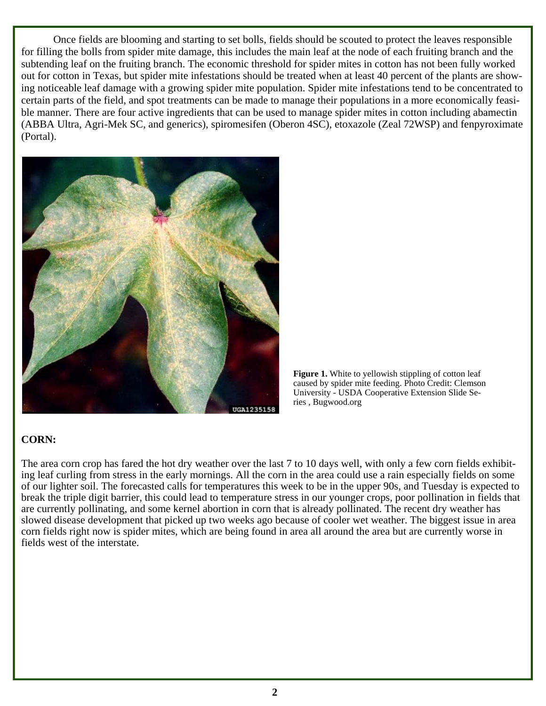Once fields are blooming and starting to set bolls, fields should be scouted to protect the leaves responsible for filling the bolls from spider mite damage, this includes the main leaf at the node of each fruiting branch and the subtending leaf on the fruiting branch. The economic threshold for spider mites in cotton has not been fully worked out for cotton in Texas, but spider mite infestations should be treated when at least 40 percent of the plants are showing noticeable leaf damage with a growing spider mite population. Spider mite infestations tend to be concentrated to certain parts of the field, and spot treatments can be made to manage their populations in a more economically feasible manner. There are four active ingredients that can be used to manage spider mites in cotton including abamectin (ABBA Ultra, Agri-Mek SC, and generics), spiromesifen (Oberon 4SC), etoxazole (Zeal 72WSP) and fenpyroximate (Portal).



**Figure 1.** White to yellowish stippling of cotton leaf caused by spider mite feeding. Photo Credit: Clemson University - USDA Cooperative Extension Slide Series , Bugwood.org

## **CORN:**

The area corn crop has fared the hot dry weather over the last 7 to 10 days well, with only a few corn fields exhibiting leaf curling from stress in the early mornings. All the corn in the area could use a rain especially fields on some of our lighter soil. The forecasted calls for temperatures this week to be in the upper 90s, and Tuesday is expected to break the triple digit barrier, this could lead to temperature stress in our younger crops, poor pollination in fields that are currently pollinating, and some kernel abortion in corn that is already pollinated. The recent dry weather has slowed disease development that picked up two weeks ago because of cooler wet weather. The biggest issue in area corn fields right now is spider mites, which are being found in area all around the area but are currently worse in fields west of the interstate.